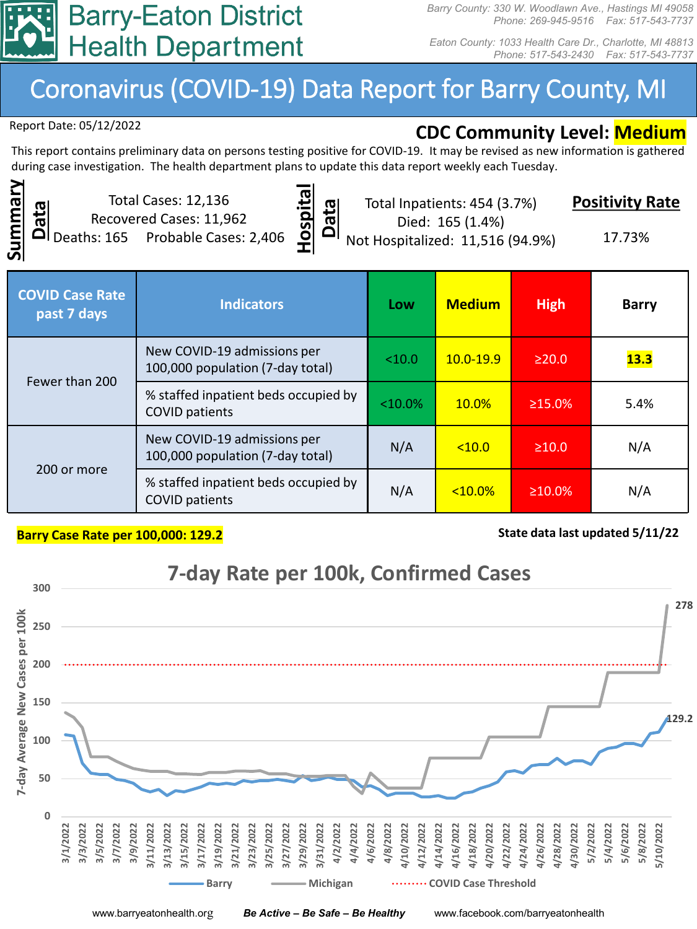

*Barry County: 330 W. Woodlawn Ave., Hastings MI 49058 Phone: 269-945-9516 Fax: 517-543-7737*

*Eaton County: 1033 Health Care Dr., Charlotte, MI 48813 Phone: 517-543-2430 Fax: 517-543-7737*

## Coronavirus (COVID-19) Data Report for Barry County, MI

Report Date: 05/12/2022

## **CDC Community Level: Medium**

This report contains preliminary data on persons testing positive for COVID-19. It may be revised as new information is gathered during case investigation. The health department plans to update this data report weekly each Tuesday.



Total Cases: 12,136 Recovered Cases: 11,962 Deaths: 165 Probable Cases: 2,406



Total Inpatients: 454 (3.7%) Died: 165 (1.4%)

**Positivity Rate**

Not Hospitalized: 11,516 (94.9%)

17.73%

| <b>COVID Case Rate</b><br>past 7 days | <b>Indicators</b>                                               | Low       | <b>Medium</b> | <b>High</b>   | <b>Barry</b> |
|---------------------------------------|-----------------------------------------------------------------|-----------|---------------|---------------|--------------|
| Fewer than 200                        | New COVID-19 admissions per<br>100,000 population (7-day total) | < 10.0    | $10.0 - 19.9$ | $\geq$ 20.0   | 13.3         |
|                                       | % staffed inpatient beds occupied by<br><b>COVID patients</b>   | $<10.0\%$ | $10.0\%$      | $\geq 15.0\%$ | 5.4%         |
| 200 or more                           | New COVID-19 admissions per<br>100,000 population (7-day total) | N/A       | < 10.0        | $\geq 10.0$   | N/A          |
|                                       | % staffed inpatient beds occupied by<br><b>COVID patients</b>   | N/A       | $<10.0\%$     | $\geq 10.0\%$ | N/A          |

## **Barry Case Rate per 100,000: 129.2 State data last updated 5/11/22 State data last updated 5/11/22**



www.barryeatonhealth.org *Be Active – Be Safe – Be Healthy* www.facebook.com/barryeatonhealth